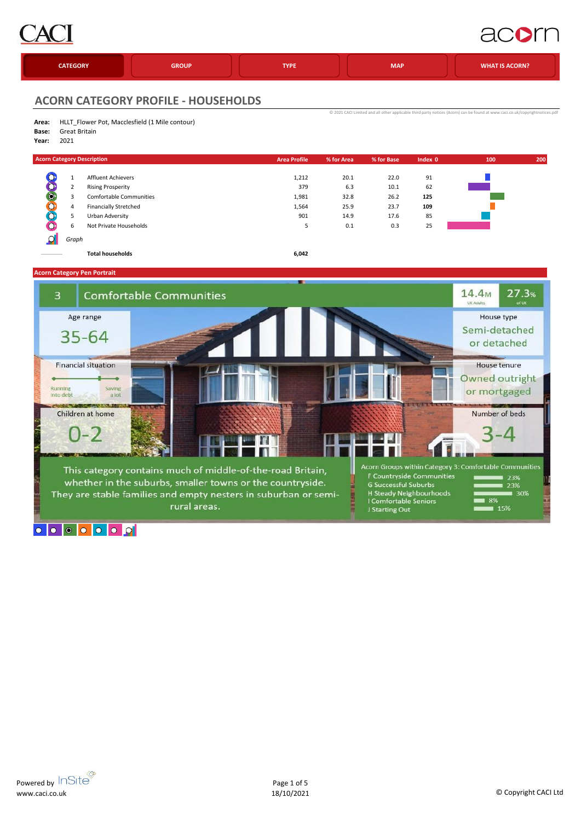

## acom

|  | <b>CATEGORY</b> | <b>GROUP</b> | <b>TYPE</b> | <b>MAP</b> | <b>WHAT IS ACORN?</b> |
|--|-----------------|--------------|-------------|------------|-----------------------|
|--|-----------------|--------------|-------------|------------|-----------------------|

[©](http://www.caci.co.uk/copyrightnotices.pdf) 2021 CACI Limited and all other appl

#### **ACORN CATEGORY PROFILE - HOUSEHOLDS**

|  | Area: HLLT_Flower Pot, Macclesfield (1 Mile contour) |  |
|--|------------------------------------------------------|--|

- **Base:** Great Britain
- **Year:** 2021

| <b>Acorn Category Description</b> |       |                              | <b>Area Profile</b> | % for Area | % for Base | Index 0 | 100 | 200 |
|-----------------------------------|-------|------------------------------|---------------------|------------|------------|---------|-----|-----|
| $\bullet$                         |       | <b>Affluent Achievers</b>    | 1,212               | 20.1       | 22.0       | 91      |     |     |
|                                   | n,    | <b>Rising Prosperity</b>     | 379                 | 6.3        | 10.1       | 62      |     |     |
| $\bullet$                         | 3     | Comfortable Communities      | 1,981               | 32.8       | 26.2       | 125     |     |     |
| $\bullet$                         | 4     | <b>Financially Stretched</b> | 1,564               | 25.9       | 23.7       | 109     |     |     |
| $\bullet$                         | D.    | Urban Adversity              | 901                 | 14.9       | 17.6       | 85      |     |     |
| $\circ$                           | 6     | Not Private Households       | ∍                   | 0.1        | 0.3        | 25      |     |     |
|                                   | Graph |                              |                     |            |            |         |     |     |

**Total households 6,042**

**Acorn Category Pen Portrait**



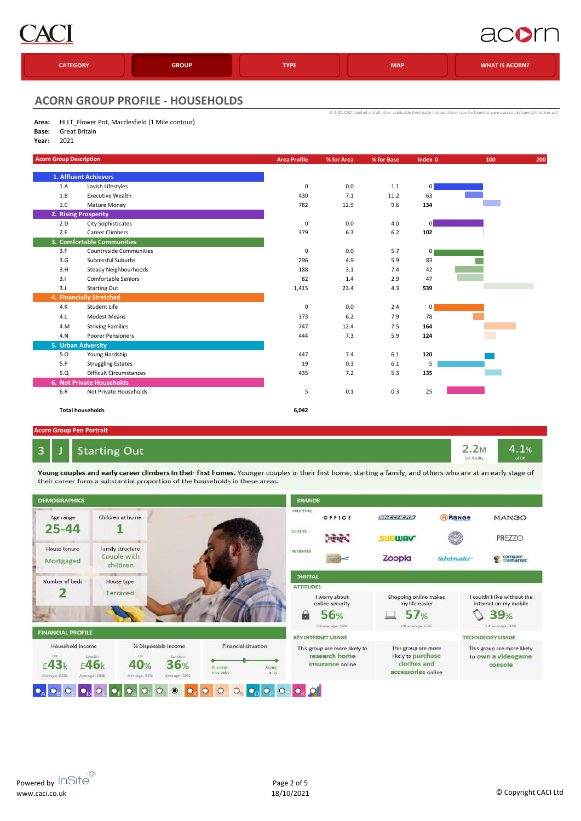

### acom

| <b>CATEGORY</b> | <b>GROUP</b> | <b>TYPE</b> | <b>MAP</b> | <b>WHAT IS ACORN?</b> |
|-----------------|--------------|-------------|------------|-----------------------|
|                 |              |             |            |                       |

[©](http://www.caci.co.uk/copyrightnotices.pdf) 2021 CACI Limited and all

#### **ACORN GROUP PROFILE - HOUSEHOLDS**

| Area: HLLT_Flower Pot, Macclesfield (1 Mile contour) |  |
|------------------------------------------------------|--|

**Base:** Great Britain

**Year:** 2021

| <b>Acorn Group Description</b> |                                  | <b>Area Profile</b> | % for Area | % for Base | Index 0        | 100 | 200 |
|--------------------------------|----------------------------------|---------------------|------------|------------|----------------|-----|-----|
|                                | 1. Affluent Achievers            |                     |            |            |                |     |     |
| 1.A                            | Lavish Lifestyles                | $\pmb{0}$           | 0.0        | 1.1        | 0              |     |     |
| 1.B                            | <b>Executive Wealth</b>          | 430                 | 7.1        | 11.2       | 63             |     |     |
| 1.C                            | Mature Money                     | 782                 | 12.9       | 9.6        | 134            |     |     |
|                                | 2. Rising Prosperity             |                     |            |            |                |     |     |
| 2.D                            | <b>City Sophisticates</b>        | 0                   | 0.0        | 4.0        | $\Omega$       |     |     |
| 2.E                            | <b>Career Climbers</b>           | 379                 | 6.3        | $6.2$      | 102            |     |     |
|                                | 3. Comfortable Communities       |                     |            |            |                |     |     |
| 3.F                            | <b>Countryside Communities</b>   | $\pmb{0}$           | 0.0        | 5.7        | 0              |     |     |
| 3.G                            | Successful Suburbs               | 296                 | 4.9        | 5.9        | 83             |     |     |
| 3.H                            | Steady Neighbourhoods            | 188                 | 3.1        | 7.4        | 42             |     |     |
| 3.1                            | Comfortable Seniors              | 82                  | 1.4        | 2.9        | 47             |     |     |
| 3.J                            | <b>Starting Out</b>              | 1,415               | 23.4       | 4.3        | 539            |     |     |
|                                | 4. Financially Stretched         |                     |            |            |                |     |     |
| 4.K                            | Student Life                     | $\pmb{0}$           | 0.0        | 2.4        | $\overline{0}$ |     |     |
| 4.L                            | <b>Modest Means</b>              | 373                 | 6.2        | 7.9        | 78             |     |     |
| 4.M                            | <b>Striving Families</b>         | 747                 | 12.4       | 7.5        | 164            |     |     |
| 4.N                            | <b>Poorer Pensioners</b>         | 444                 | 7.3        | 5.9        | 124            |     |     |
|                                | 5. Urban Adversity               |                     |            |            |                |     |     |
| 5.0                            | Young Hardship                   | 447                 | 7.4        | 6.1        | 120            |     |     |
| 5.P                            | <b>Struggling Estates</b>        | 19                  | 0.3        | 6.1        | 5              |     |     |
| 5.Q                            | <b>Difficult Circumstances</b>   | 435                 | 7.2        | 5.3        | 135            |     |     |
|                                | <b>6. Not Private Households</b> |                     |            |            |                |     |     |
| 6.R                            | Not Private Households           | 5                   | 0.1        | 0.3        | 25             |     |     |
|                                | <b>Total households</b>          | 6,042               |            |            |                |     |     |

#### **Acorn Group Pen Portrait**

3 J

#### **Starting Out**

Young couples and early career climbers in their first homes. Younger couples in their first home, starting a family, and others who are at an early stage of their career form a substantial proportion of the households in these areas.



 $4.1%$ 

 $2.2<sub>M</sub>$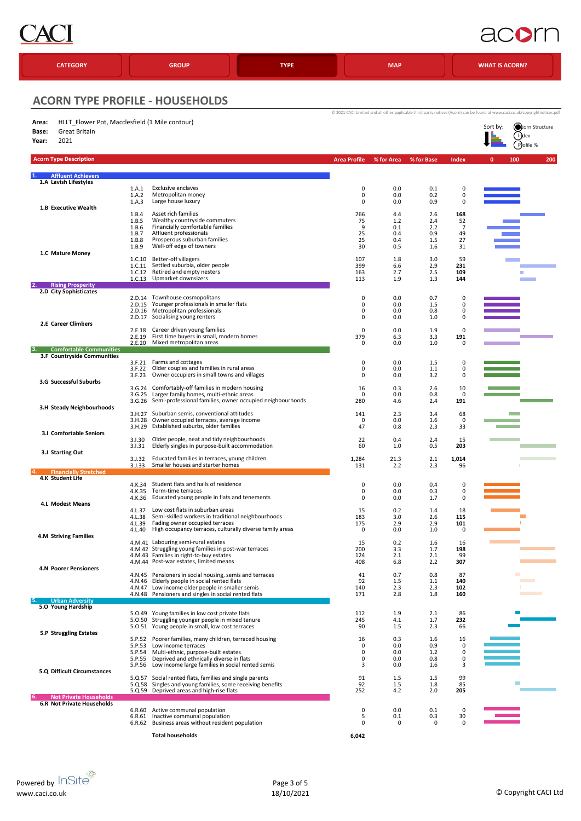

# acom

| <b>CATEGORY</b>                                                                                    |                                                    | <b>GROUP</b>                                                                                                                                                                                                                                                 | <b>TYPE</b> | <b>MAP</b>                       |                                        |                                        | <b>WHAT IS ACORN?</b>                         |                                                                                                                                                                                         |
|----------------------------------------------------------------------------------------------------|----------------------------------------------------|--------------------------------------------------------------------------------------------------------------------------------------------------------------------------------------------------------------------------------------------------------------|-------------|----------------------------------|----------------------------------------|----------------------------------------|-----------------------------------------------|-----------------------------------------------------------------------------------------------------------------------------------------------------------------------------------------|
| <b>ACORN TYPE PROFILE - HOUSEHOLDS</b>                                                             |                                                    |                                                                                                                                                                                                                                                              |             |                                  |                                        |                                        |                                               |                                                                                                                                                                                         |
| Area:<br>HLLT Flower Pot, Macclesfield (1 Mile contour)<br>Great Britain<br>Base:<br>2021<br>Year: |                                                    |                                                                                                                                                                                                                                                              |             |                                  |                                        |                                        |                                               | @ 2021 CACI Limited and all other applicable third party notices (Acorn) can be found at www.caci.co.uk/copyrightnotices.pdf<br><b>Ocean</b> Structure<br>Sort by:<br>lndex<br>Pofile % |
| <b>Acorn Type Description</b>                                                                      |                                                    |                                                                                                                                                                                                                                                              |             | <b>Area Profile</b>              | % for Area                             | % for Base                             | <b>Index</b>                                  | 200<br>$\mathbf{0}$<br>100                                                                                                                                                              |
| <b>Affluent Achievers</b><br>1.A Lavish Lifestyles                                                 |                                                    |                                                                                                                                                                                                                                                              |             |                                  |                                        |                                        |                                               |                                                                                                                                                                                         |
| 1.B Executive Wealth                                                                               | 1.A.1<br>1.A.2<br>1.A.3                            | Exclusive enclaves<br>Metropolitan money<br>Large house luxury                                                                                                                                                                                               |             | 0<br>$\mathbf 0$<br>0            | 0.0<br>0.0<br>0.0                      | 0.1<br>0.2<br>0.9                      | 0<br>0<br>0                                   |                                                                                                                                                                                         |
|                                                                                                    | 1.B.4<br>1.B.5<br>1.B.6<br>1.B.7<br>1.B.8<br>1.B.9 | Asset rich families<br>Wealthy countryside commuters<br>Financially comfortable families<br>Affluent professionals<br>Prosperous suburban families<br>Well-off edge of towners                                                                               |             | 266<br>75<br>9<br>25<br>25<br>30 | 4.4<br>1.2<br>0.1<br>0.4<br>0.4<br>0.5 | 2.6<br>2.4<br>2.2<br>0.9<br>1.5<br>1.6 | 168<br>52<br>$\overline{7}$<br>49<br>27<br>31 |                                                                                                                                                                                         |
| 1.C Mature Money                                                                                   | 1.C.10<br>1.C.11                                   | <b>Better-off villagers</b><br>Settled suburbia, older people<br>1.C.12 Retired and empty nesters<br>1.C.13 Upmarket downsizers                                                                                                                              |             | 107<br>399<br>163<br>113         | 1.8<br>6.6<br>2.7<br>1.9               | 3.0<br>2.9<br>2.5<br>1.3               | 59<br>231<br>109<br>144                       |                                                                                                                                                                                         |
| <b>Rising Prosperity</b><br>2.D City Sophisticates                                                 |                                                    | 2.D.14 Townhouse cosmopolitans                                                                                                                                                                                                                               |             | 0                                | 0.0                                    | 0.7                                    | 0                                             |                                                                                                                                                                                         |
| 2.E Career Climbers                                                                                | 2.D.15<br>2.D.16<br>2.D.17                         | Younger professionals in smaller flats<br>Metropolitan professionals<br>Socialising young renters                                                                                                                                                            |             | 0<br>0<br>0                      | 0.0<br>0.0<br>0.0                      | 1.5<br>0.8<br>1.0                      | 0<br>0<br>0                                   |                                                                                                                                                                                         |
|                                                                                                    | 2.E.18<br>2.E.19<br>2.E.20                         | Career driven young families<br>First time buyers in small, modern homes<br>Mixed metropolitan areas                                                                                                                                                         |             | 0<br>379<br>0                    | 0.0<br>6.3<br>0.0                      | 1.9<br>3.3<br>1.0                      | $\mathbf 0$<br>191<br>0                       |                                                                                                                                                                                         |
| <b>Comfortable Communities</b><br>3.<br>3.F Countryside Communities                                |                                                    |                                                                                                                                                                                                                                                              |             |                                  | 0.0                                    |                                        |                                               |                                                                                                                                                                                         |
| 3.G Successful Suburbs                                                                             | 3.F.21<br>3.F.22<br>3.F.23                         | Farms and cottages<br>Older couples and families in rural areas<br>Owner occupiers in small towns and villages                                                                                                                                               |             | 0<br>$\pmb{0}$<br>0              | 0.0<br>0.0                             | 1.5<br>1.1<br>3.2                      | 0<br>0<br>0                                   |                                                                                                                                                                                         |
| 3.H Steady Neighbourhoods                                                                          | 3.G.24<br>3.6.25                                   | Comfortably-off families in modern housing<br>Larger family homes, multi-ethnic areas<br>3.G.26 Semi-professional families, owner occupied neighbourhoods                                                                                                    |             | 16<br>0<br>280                   | 0.3<br>0.0<br>4.6                      | 2.6<br>0.8<br>2.4                      | 10<br>0<br>191                                |                                                                                                                                                                                         |
| 3.1 Comfortable Seniors                                                                            | 3.H.28<br>3.H.29                                   | 3.H.27 Suburban semis, conventional attitudes<br>Owner occupied terraces, average income<br>Established suburbs, older families                                                                                                                              |             | 141<br>0<br>47                   | 2.3<br>0.0<br>0.8                      | 3.4<br>1.6<br>2.3                      | 68<br>0<br>33                                 |                                                                                                                                                                                         |
| 3.J Starting Out                                                                                   | 3.1.30<br>3.I.31<br>3.J.32                         | Older people, neat and tidy neighbourhoods<br>Elderly singles in purpose-built accommodation<br>Educated families in terraces, young children                                                                                                                |             | 22<br>60<br>1,284                | 0.4<br>1.0<br>21.3                     | 2.4<br>0.5<br>2.1                      | 15<br>203<br>1,014                            |                                                                                                                                                                                         |
| <b>Financially Stretched</b>                                                                       | 3.1.33                                             | Smaller houses and starter homes                                                                                                                                                                                                                             |             | 131                              | 2.2                                    | 2.3                                    | 96                                            |                                                                                                                                                                                         |
| 4.K Student Life                                                                                   | 4.K.34<br>4.K.35                                   | Student flats and halls of residence<br>Term-time terraces<br>4.K.36 Educated young people in flats and tenements                                                                                                                                            |             | 0<br>0<br>$\mathbf 0$            | 0.0<br>0.0<br>0.0                      | 0.4<br>0.3<br>1.7                      | 0<br>0<br>$\mathbf 0$                         |                                                                                                                                                                                         |
| <b>4.L Modest Means</b>                                                                            | 4.L.37<br>4.L.38<br>4.L.39                         | Low cost flats in suburban areas<br>Semi-skilled workers in traditional neighbourhoods<br>Fading owner occupied terraces<br>4.L.40 High occupancy terraces, culturally diverse family areas                                                                  |             | 15<br>183<br>175<br>0            | 0.2<br>3.0<br>2.9<br>0.0               | 1.4<br>2.6<br>2.9<br>1.0               | 18<br>115<br>101<br>0                         |                                                                                                                                                                                         |
| <b>4.M Striving Families</b>                                                                       |                                                    | 4.M.41 Labouring semi-rural estates<br>4.M.42 Struggling young families in post-war terraces<br>4.M.43 Families in right-to-buy estates                                                                                                                      |             | 15<br>200<br>124                 | 0.2<br>3.3<br>2.1                      | 1.6<br>1.7<br>2.1                      | 16<br>198<br>99                               |                                                                                                                                                                                         |
| <b>4.N Poorer Pensioners</b>                                                                       |                                                    | 4.M.44 Post-war estates, limited means<br>4.N.45 Pensioners in social housing, semis and terraces<br>4.N.46 Elderly people in social rented flats<br>4.N.47 Low income older people in smaller semis<br>4.N.48 Pensioners and singles in social rented flats |             | 408<br>41<br>92<br>140           | 6.8<br>0.7<br>1.5<br>2.3               | 2.2<br>0.8<br>1.1<br>2.3               | 307<br>87<br>140<br>102                       | <b>Contract</b><br>п<br><b>College</b>                                                                                                                                                  |
| <b>Urban Adversity</b><br>5.0 Young Hardship                                                       |                                                    |                                                                                                                                                                                                                                                              |             | 171                              | 2.8                                    | 1.8                                    | 160                                           |                                                                                                                                                                                         |
|                                                                                                    |                                                    | 5.0.49 Young families in low cost private flats<br>5.0.50 Struggling younger people in mixed tenure<br>5.0.51 Young people in small, low cost terraces                                                                                                       |             | 112<br>245<br>90                 | 1.9<br>4.1<br>1.5                      | 2.1<br>1.7<br>2.3                      | 86<br>232<br>66                               |                                                                                                                                                                                         |
| 5.P Struggling Estates                                                                             | 5.P.52<br>5.P.53<br>5.P.54                         | Poorer families, many children, terraced housing<br>Low income terraces<br>Multi-ethnic, purpose-built estates<br>5.P.55 Deprived and ethnically diverse in flats<br>5.P.56 Low income large families in social rented semis                                 |             | 16<br>0<br>0<br>0<br>3           | 0.3<br>0.0<br>0.0<br>0.0<br>0.0        | 1.6<br>0.9<br>1.2<br>0.8<br>1.6        | 16<br>0<br>0<br>0<br>3                        |                                                                                                                                                                                         |
| 5.Q Difficult Circumstances                                                                        |                                                    | 5.Q.57 Social rented flats, families and single parents<br>5.Q.58 Singles and young families, some receiving benefits<br>5.Q.59 Deprived areas and high-rise flats                                                                                           |             | 91<br>92<br>252                  | 1.5<br>1.5<br>4.2                      | 1.5<br>1.8<br>2.0                      | 99<br>85<br>205                               |                                                                                                                                                                                         |
| <b>Not Private Households</b><br><b>6.R Not Private Households</b>                                 |                                                    | 6.R.60 Active communal population<br>6.R.61 Inactive communal population<br>6.R.62 Business areas without resident population                                                                                                                                |             | $\pmb{0}$<br>5<br>$\mathbf 0$    | 0.0<br>0.1<br>0                        | 0.1<br>0.3<br>0                        | 0<br>30<br>$\Omega$                           |                                                                                                                                                                                         |
|                                                                                                    |                                                    | <b>Total households</b>                                                                                                                                                                                                                                      |             | 6,042                            |                                        |                                        |                                               |                                                                                                                                                                                         |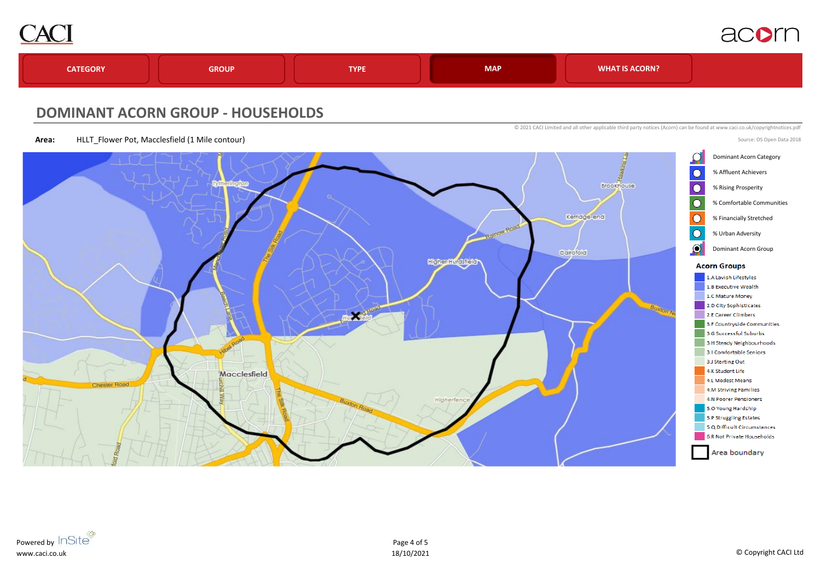



### **DOMINANT ACORN GROUP - HOUSEHOLDS**

© 2021 CACI Limited and all other applicable third party notices (Acorn) can be found at www.caci.co.uk/copyrightnotices.pdf